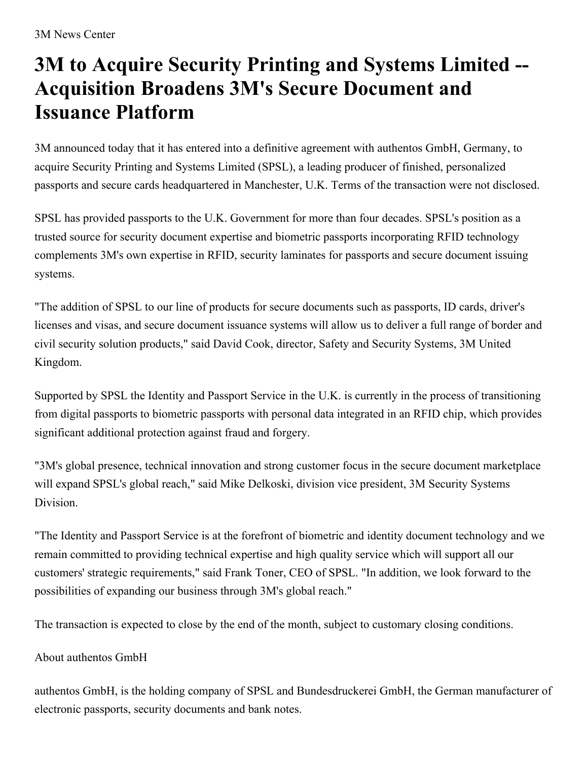## **3M to Acquire Security Printing and Systems Limited -- Acquisition Broadens 3M's Secure Document and Issuance Platform**

3M announced today that it has entered into a definitive agreement with authentos GmbH, Germany, to acquire Security Printing and Systems Limited (SPSL), a leading producer of finished, personalized passports and secure cards headquartered in Manchester, U.K. Terms of the transaction were not disclosed.

SPSL has provided passports to the U.K. Government for more than four decades. SPSL's position as a trusted source for security document expertise and biometric passports incorporating RFID technology complements 3M's own expertise in RFID, security laminates for passports and secure document issuing systems.

"The addition of SPSL to our line of products for secure documents such as passports, ID cards, driver's licenses and visas, and secure document issuance systems will allow us to deliver a full range of border and civil security solution products," said David Cook, director, Safety and Security Systems, 3M United Kingdom.

Supported by SPSL the Identity and Passport Service in the U.K. is currently in the process of transitioning from digital passports to biometric passports with personal data integrated in an RFID chip, which provides significant additional protection against fraud and forgery.

"3M's global presence, technical innovation and strong customer focus in the secure document marketplace will expand SPSL's global reach," said Mike Delkoski, division vice president, 3M Security Systems Division.

"The Identity and Passport Service is at the forefront of biometric and identity document technology and we remain committed to providing technical expertise and high quality service which will support all our customers' strategic requirements," said Frank Toner, CEO of SPSL. "In addition, we look forward to the possibilities of expanding our business through 3M's global reach."

The transaction is expected to close by the end of the month, subject to customary closing conditions.

## About authentos GmbH

authentos GmbH, is the holding company of SPSL and Bundesdruckerei GmbH, the German manufacturer of electronic passports, security documents and bank notes.